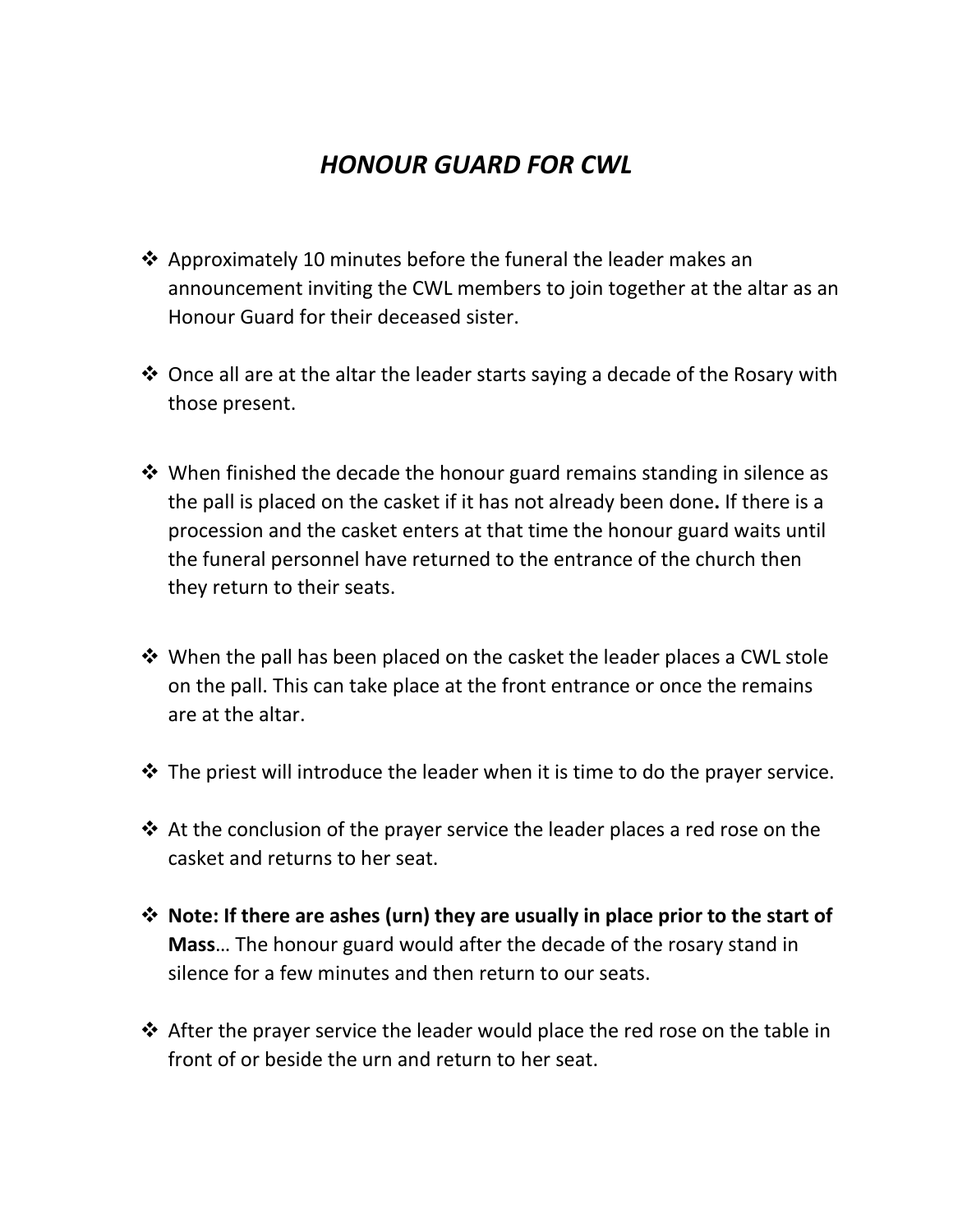## *HONOUR GUARD FOR CWL*

- ❖ Approximately 10 minutes before the funeral the leader makes an announcement inviting the CWL members to join together at the altar as an Honour Guard for their deceased sister.
- ❖ Once all are at the altar the leader starts saying a decade of the Rosary with those present.
- ❖ When finished the decade the honour guard remains standing in silence as the pall is placed on the casket if it has not already been done**.** If there is a procession and the casket enters at that time the honour guard waits until the funeral personnel have returned to the entrance of the church then they return to their seats.
- ❖ When the pall has been placed on the casket the leader places a CWL stole on the pall. This can take place at the front entrance or once the remains are at the altar.
- ❖ The priest will introduce the leader when it is time to do the prayer service.
- ❖ At the conclusion of the prayer service the leader places a red rose on the casket and returns to her seat.
- ❖ **Note: If there are ashes (urn) they are usually in place prior to the start of Mass**… The honour guard would after the decade of the rosary stand in silence for a few minutes and then return to our seats.
- ❖ After the prayer service the leader would place the red rose on the table in front of or beside the urn and return to her seat.